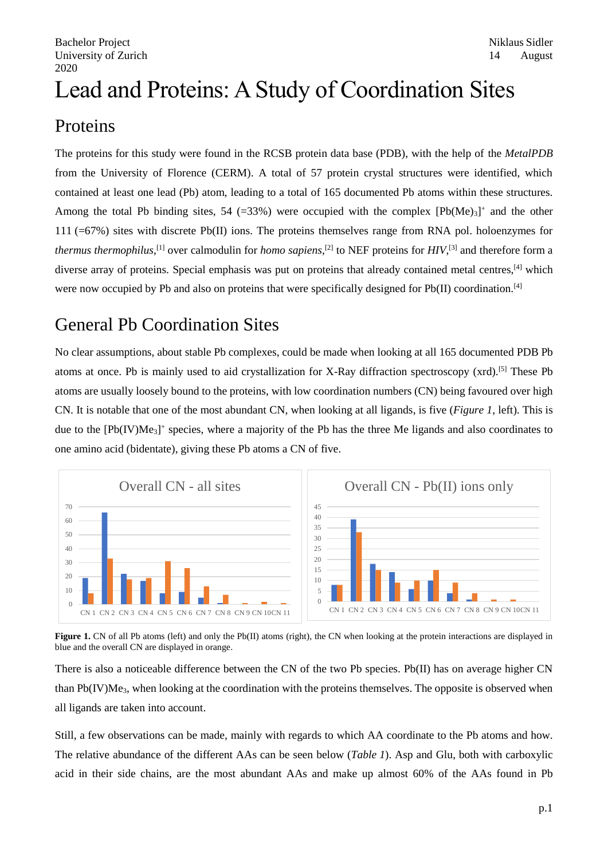# Lead and Proteins: A Study of Coordination Sites

## Proteins

The proteins for this study were found in the RCSB protein data base (PDB), with the help of the *MetalPDB* from the University of Florence (CERM). A total of 57 protein crystal structures were identified, which contained at least one lead (Pb) atom, leading to a total of 165 documented Pb atoms within these structures. Among the total Pb binding sites, 54 (=33%) were occupied with the complex  $[Pb(Me)<sub>3</sub>]$ <sup>+</sup> and the other 111 (=67%) sites with discrete Pb(II) ions. The proteins themselves range from RNA pol. holoenzymes for *thermus thermophilus*,<sup>[1]</sup> over calmodulin for *homo sapiens*,<sup>[2]</sup> to NEF proteins for *HIV*,<sup>[3]</sup> and therefore form a diverse array of proteins. Special emphasis was put on proteins that already contained metal centres,<sup>[4]</sup> which were now occupied by Pb and also on proteins that were specifically designed for  $Pb(II)$  coordination.<sup>[4]</sup>

# General Pb Coordination Sites

No clear assumptions, about stable Pb complexes, could be made when looking at all 165 documented PDB Pb atoms at once. Pb is mainly used to aid crystallization for X-Ray diffraction spectroscopy (xrd).[5] These Pb atoms are usually loosely bound to the proteins, with low coordination numbers (CN) being favoured over high CN. It is notable that one of the most abundant CN, when looking at all ligands, is five (*Figure 1*, left). This is due to the [Pb(IV)Me<sub>3</sub>]<sup>+</sup> species, where a majority of the Pb has the three Me ligands and also coordinates to one amino acid (bidentate), giving these Pb atoms a CN of five.



**Figure 1.** CN of all Pb atoms (left) and only the Pb(II) atoms (right), the CN when looking at the protein interactions are displayed in blue and the overall CN are displayed in orange.

There is also a noticeable difference between the CN of the two Pb species. Pb(II) has on average higher CN than  $Pb(V)Me<sub>3</sub>$ , when looking at the coordination with the proteins themselves. The opposite is observed when all ligands are taken into account.

Still, a few observations can be made, mainly with regards to which AA coordinate to the Pb atoms and how. The relative abundance of the different AAs can be seen below (*Table 1*). Asp and Glu, both with carboxylic acid in their side chains, are the most abundant AAs and make up almost 60% of the AAs found in Pb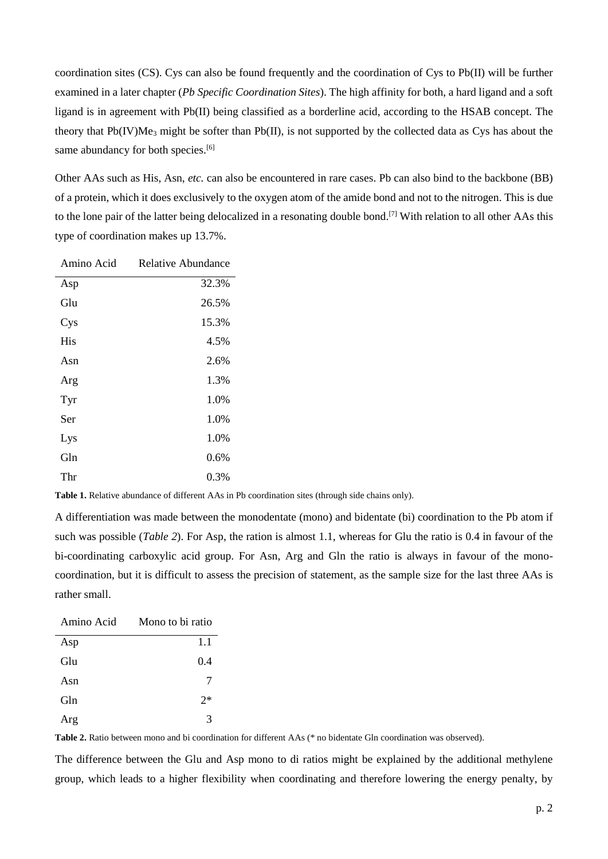coordination sites (CS). Cys can also be found frequently and the coordination of Cys to Pb(II) will be further examined in a later chapter (*Pb Specific Coordination Sites*). The high affinity for both, a hard ligand and a soft ligand is in agreement with Pb(II) being classified as a borderline acid, according to the HSAB concept. The theory that Pb(IV)Me<sup>3</sup> might be softer than Pb(II), is not supported by the collected data as Cys has about the same abundancy for both species.<sup>[6]</sup>

Other AAs such as His, Asn, *etc.* can also be encountered in rare cases. Pb can also bind to the backbone (BB) of a protein, which it does exclusively to the oxygen atom of the amide bond and not to the nitrogen. This is due to the lone pair of the latter being delocalized in a resonating double bond. [7] With relation to all other AAs this type of coordination makes up 13.7%.

| Amino Acid | Relative Abundance |
|------------|--------------------|
| Asp        | 32.3%              |
| Glu        | 26.5%              |
| Cys        | 15.3%              |
| <b>His</b> | 4.5%               |
| Asn        | 2.6%               |
| Arg        | 1.3%               |
| Tyr        | 1.0%               |
| Ser        | 1.0%               |
| Lys        | 1.0%               |
| Gln        | 0.6%               |
| Thr        | 0.3%               |

**Table 1.** Relative abundance of different AAs in Pb coordination sites (through side chains only).

A differentiation was made between the monodentate (mono) and bidentate (bi) coordination to the Pb atom if such was possible (*Table 2*). For Asp, the ration is almost 1.1, whereas for Glu the ratio is 0.4 in favour of the bi-coordinating carboxylic acid group. For Asn, Arg and Gln the ratio is always in favour of the monocoordination, but it is difficult to assess the precision of statement, as the sample size for the last three AAs is rather small.

| Amino Acid | Mono to bi ratio |
|------------|------------------|
| Asp        | 1.1              |
| Glu        | 0.4              |
| Asn        | 7                |
| Gln        | $2*$             |
| Arg        | 3                |

**Table 2.** Ratio between mono and bi coordination for different AAs (\* no bidentate Gln coordination was observed).

The difference between the Glu and Asp mono to di ratios might be explained by the additional methylene group, which leads to a higher flexibility when coordinating and therefore lowering the energy penalty, by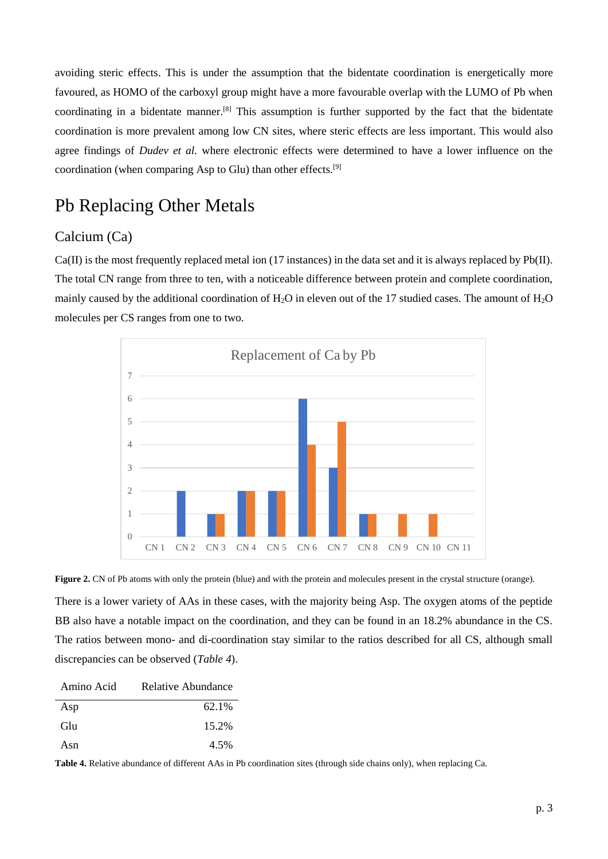avoiding steric effects. This is under the assumption that the bidentate coordination is energetically more favoured, as HOMO of the carboxyl group might have a more favourable overlap with the LUMO of Pb when coordinating in a bidentate manner.[8] This assumption is further supported by the fact that the bidentate coordination is more prevalent among low CN sites, where steric effects are less important. This would also agree findings of *Dudev et al.* where electronic effects were determined to have a lower influence on the coordination (when comparing Asp to Glu) than other effects.[9]

### Pb Replacing Other Metals

#### Calcium (Ca)

Ca(II) is the most frequently replaced metal ion (17 instances) in the data set and it is always replaced by Pb(II). The total CN range from three to ten, with a noticeable difference between protein and complete coordination, mainly caused by the additional coordination of  $H_2O$  in eleven out of the 17 studied cases. The amount of  $H_2O$ molecules per CS ranges from one to two.



Figure 2. CN of Pb atoms with only the protein (blue) and with the protein and molecules present in the crystal structure (orange).

There is a lower variety of AAs in these cases, with the majority being Asp. The oxygen atoms of the peptide BB also have a notable impact on the coordination, and they can be found in an 18.2% abundance in the CS. The ratios between mono- and di-coordination stay similar to the ratios described for all CS, although small discrepancies can be observed (*Table 4*).

| Amino Acid | Relative Abundance |
|------------|--------------------|
| Asp        | 62.1%              |
| Glu        | 15.2%              |
| Asn        | 4.5%               |

**Table 4.** Relative abundance of different AAs in Pb coordination sites (through side chains only), when replacing Ca.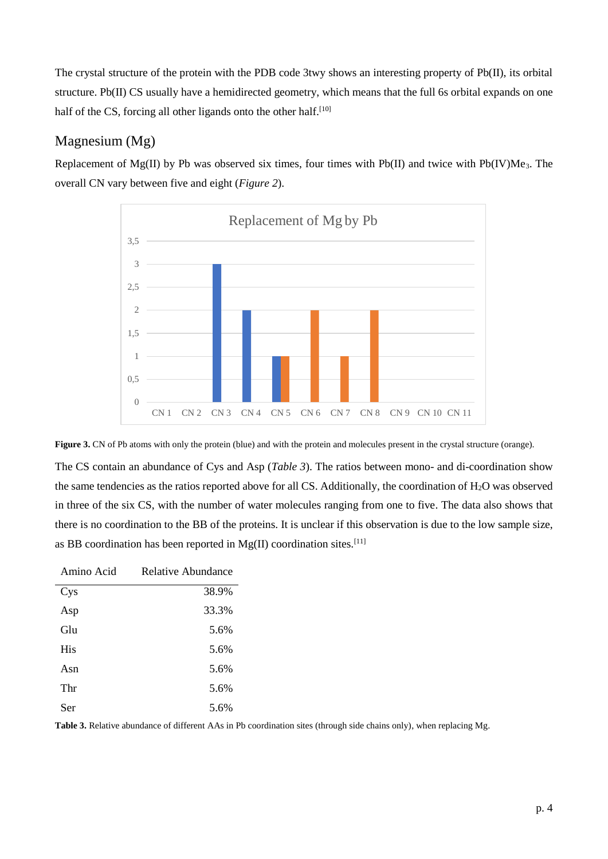The crystal structure of the protein with the PDB code 3twy shows an interesting property of Pb(II), its orbital structure. Pb(II) CS usually have a hemidirected geometry, which means that the full 6s orbital expands on one half of the CS, forcing all other ligands onto the other half.<sup>[10]</sup>

#### Magnesium (Mg)

Replacement of Mg(II) by Pb was observed six times, four times with Pb(II) and twice with Pb(IV)Me<sub>3</sub>. The overall CN vary between five and eight (*Figure 2*).





The CS contain an abundance of Cys and Asp (*Table 3*). The ratios between mono- and di-coordination show the same tendencies as the ratios reported above for all CS. Additionally, the coordination of H2O was observed in three of the six CS, with the number of water molecules ranging from one to five. The data also shows that there is no coordination to the BB of the proteins. It is unclear if this observation is due to the low sample size, as BB coordination has been reported in  $Mg(II)$  coordination sites.<sup>[11]</sup>

| Amino Acid | Relative Abundance |
|------------|--------------------|
| Cys        | 38.9%              |
| Asp        | 33.3%              |
| Glu        | 5.6%               |
| His        | 5.6%               |
| Asn        | 5.6%               |
| Thr        | 5.6%               |
| Ser        | 5.6%               |

**Table 3.** Relative abundance of different AAs in Pb coordination sites (through side chains only), when replacing Mg.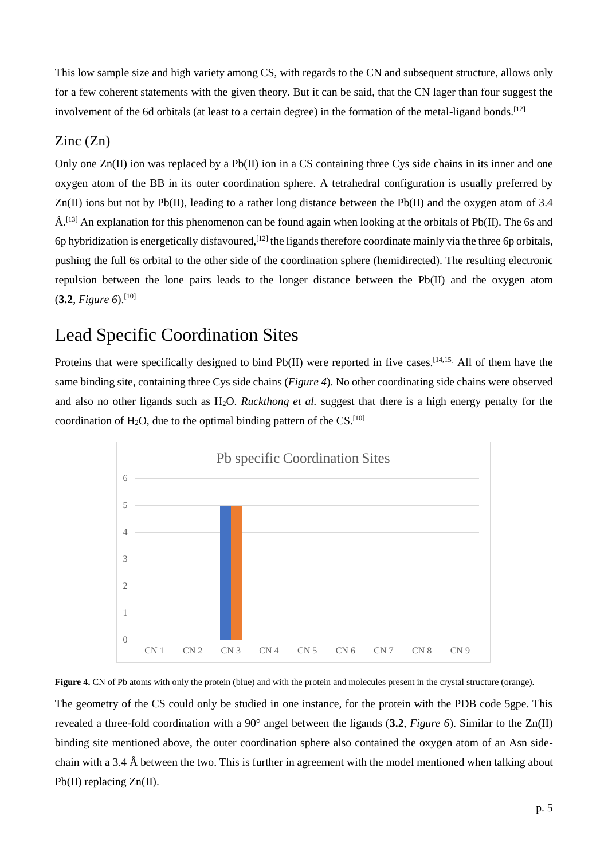This low sample size and high variety among CS, with regards to the CN and subsequent structure, allows only for a few coherent statements with the given theory. But it can be said, that the CN lager than four suggest the involvement of the 6d orbitals (at least to a certain degree) in the formation of the metal-ligand bonds.<sup>[12]</sup>

#### Zinc (Zn)

Only one Zn(II) ion was replaced by a Pb(II) ion in a CS containing three Cys side chains in its inner and one oxygen atom of the BB in its outer coordination sphere. A tetrahedral configuration is usually preferred by  $Zn(\Pi)$  ions but not by Pb(II), leading to a rather long distance between the Pb(II) and the oxygen atom of 3.4  $\AA$ .<sup>[13]</sup> An explanation for this phenomenon can be found again when looking at the orbitals of Pb(II). The 6s and 6p hybridization is energetically disfavoured,  $[12]$  the ligands therefore coordinate mainly via the three 6p orbitals, pushing the full 6s orbital to the other side of the coordination sphere (hemidirected). The resulting electronic repulsion between the lone pairs leads to the longer distance between the Pb(II) and the oxygen atom (**3.2**, *Figure 6*). [10]

# Lead Specific Coordination Sites

Proteins that were specifically designed to bind Pb(II) were reported in five cases.<sup>[14,15]</sup> All of them have the same binding site, containing three Cys side chains (*Figure 4*). No other coordinating side chains were observed and also no other ligands such as H2O. *Ruckthong et al.* suggest that there is a high energy penalty for the coordination of  $H_2O$ , due to the optimal binding pattern of the CS.<sup>[10]</sup>





The geometry of the CS could only be studied in one instance, for the protein with the PDB code 5gpe. This revealed a three-fold coordination with a 90° angel between the ligands (**3.2**, *Figure 6*). Similar to the Zn(II) binding site mentioned above, the outer coordination sphere also contained the oxygen atom of an Asn sidechain with a 3.4 Å between the two. This is further in agreement with the model mentioned when talking about Pb(II) replacing Zn(II).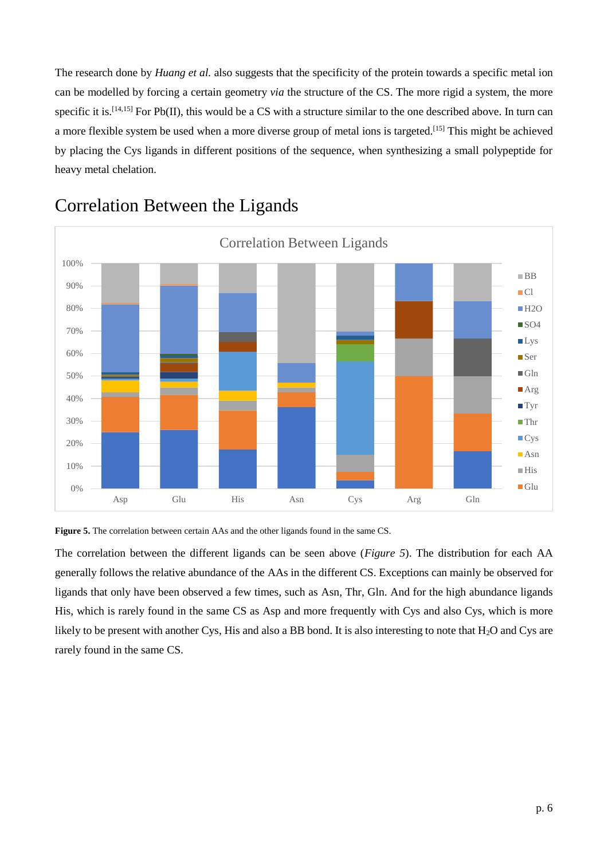The research done by *Huang et al.* also suggests that the specificity of the protein towards a specific metal ion can be modelled by forcing a certain geometry *via* the structure of the CS. The more rigid a system, the more specific it is.<sup>[14,15]</sup> For Pb(II), this would be a CS with a structure similar to the one described above. In turn can a more flexible system be used when a more diverse group of metal ions is targeted.[15] This might be achieved by placing the Cys ligands in different positions of the sequence, when synthesizing a small polypeptide for heavy metal chelation.



# Correlation Between the Ligands



The correlation between the different ligands can be seen above (*Figure 5*). The distribution for each AA generally follows the relative abundance of the AAs in the different CS. Exceptions can mainly be observed for ligands that only have been observed a few times, such as Asn, Thr, Gln. And for the high abundance ligands His, which is rarely found in the same CS as Asp and more frequently with Cys and also Cys, which is more likely to be present with another Cys, His and also a BB bond. It is also interesting to note that  $H_2O$  and Cys are rarely found in the same CS.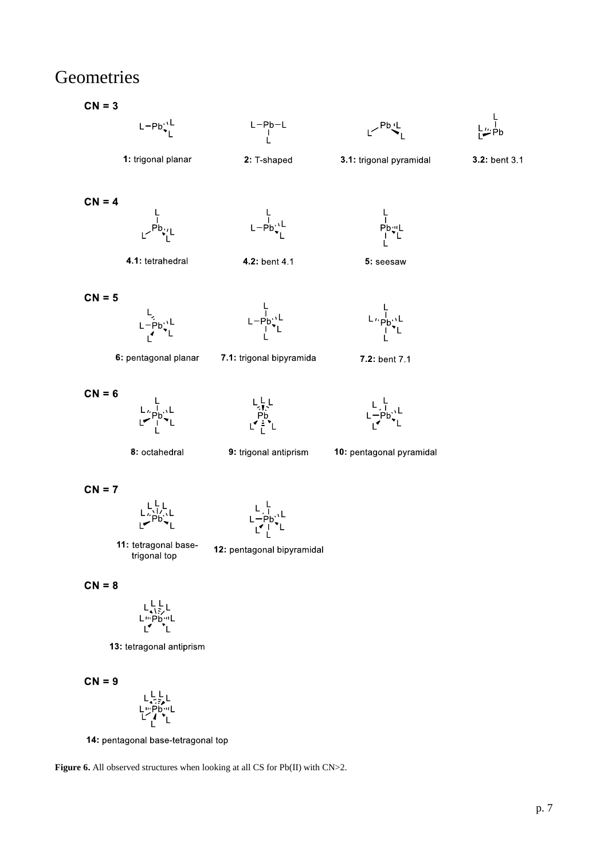## **Geometries**

 $CN = 3$ 

 $L-Pb_{\bullet_1}^{\prime\prime L}$ 



3.1: trigonal pyramidal

 $P_b^{\text{b}}$   $L^{\text{b}}$ 



3.2: bent 3.1

 $CN = 4$ 



4.1: tetrahedral

1: trigonal planar

 $L - Pb$ <sup>1</sup>

4.2: bent 4.1





- $\overline{\mathsf{L}}$  :
- 6: pentagonal planar

 $CN = 6$ 



 $L - Pb$ 

7.1: trigonal bipyramida



7.2: bent 7.1

 $L \nmid \mathsf{Pb}^{\text{tr}}_{\mathsf{L}} L$ 

. |<br>.Pb`\

8: octahedral

9: trigonal antiprism

10: pentagonal pyramidal

 $CN = 7$ 

$$
\begin{array}{c}\nL, \quad L \\
L - Pb, \quad L \\
L - L\n\end{array}
$$

11: tetragonal basetrigonal top

12: pentagonal bipyramidal

 $CN = 8$ 

$$
\begin{array}{c}\nL \downarrow \downarrow \downarrow \\
L \uparrow \uparrow \uparrow \uparrow \downarrow \\
\downarrow \downarrow \downarrow \uparrow \uparrow \uparrow \downarrow\n\end{array}
$$

13: tetragonal antiprism

 $CN = 9$ 

$$
\begin{array}{c}\mathsf{L}\mathsf{L}\mathsf{L}\\\mathsf{L}\mathsf{L}\mathsf{P}\mathsf{b}\mathsf{m}\mathsf{L}\\\mathsf{L}\mathsf{L}\mathsf{P}\mathsf{P}\mathsf{L}\mathsf{L}\end{array}
$$

14: pentagonal base-tetragonal top

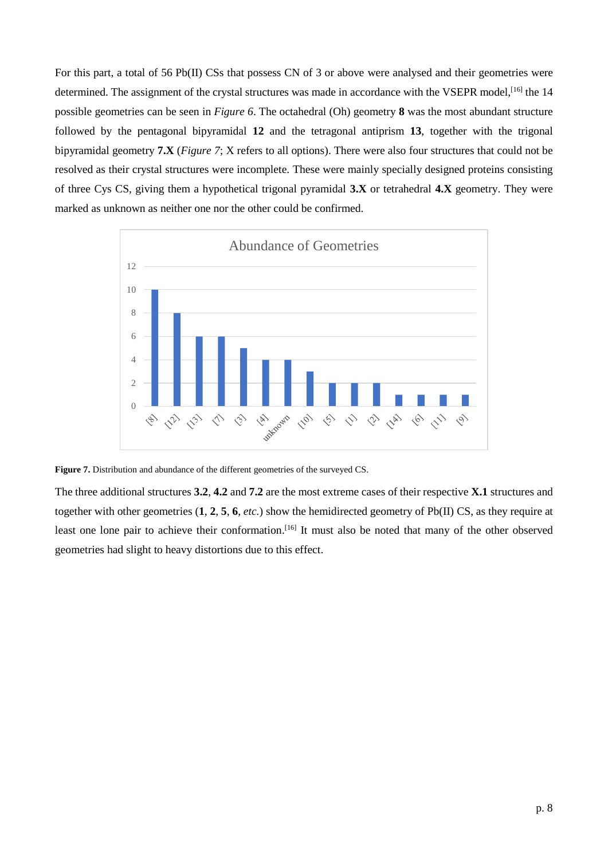For this part, a total of 56 Pb(II) CSs that possess CN of 3 or above were analysed and their geometries were determined. The assignment of the crystal structures was made in accordance with the VSEPR model,<sup>[16]</sup> the 14 possible geometries can be seen in *Figure 6*. The octahedral (Oh) geometry **8** was the most abundant structure followed by the pentagonal bipyramidal **12** and the tetragonal antiprism **13**, together with the trigonal bipyramidal geometry **7.X** (*Figure 7*; X refers to all options). There were also four structures that could not be resolved as their crystal structures were incomplete. These were mainly specially designed proteins consisting of three Cys CS, giving them a hypothetical trigonal pyramidal **3.X** or tetrahedral **4.X** geometry. They were marked as unknown as neither one nor the other could be confirmed.



**Figure 7.** Distribution and abundance of the different geometries of the surveyed CS.

The three additional structures **3.2**, **4.2** and **7.2** are the most extreme cases of their respective **X.1** structures and together with other geometries (**1**, **2**, **5**, **6**, *etc.*) show the hemidirected geometry of Pb(II) CS, as they require at least one lone pair to achieve their conformation.<sup>[16]</sup> It must also be noted that many of the other observed geometries had slight to heavy distortions due to this effect.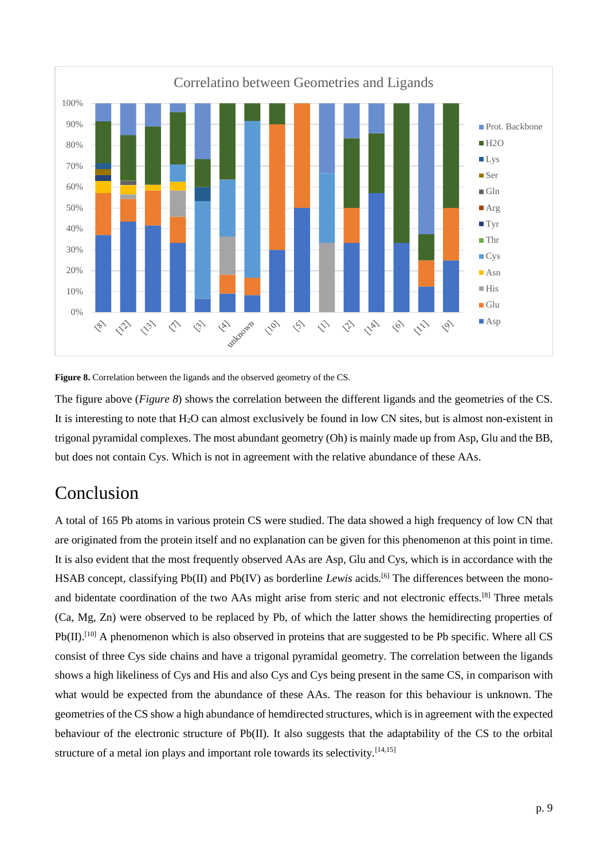



The figure above (*Figure 8*) shows the correlation between the different ligands and the geometries of the CS. It is interesting to note that H<sub>2</sub>O can almost exclusively be found in low CN sites, but is almost non-existent in trigonal pyramidal complexes. The most abundant geometry (Oh) is mainly made up from Asp, Glu and the BB, but does not contain Cys. Which is not in agreement with the relative abundance of these AAs.

## Conclusion

A total of 165 Pb atoms in various protein CS were studied. The data showed a high frequency of low CN that are originated from the protein itself and no explanation can be given for this phenomenon at this point in time. It is also evident that the most frequently observed AAs are Asp, Glu and Cys, which is in accordance with the HSAB concept, classifying Pb(II) and Pb(IV) as borderline *Lewis* acids.<sup>[6]</sup> The differences between the monoand bidentate coordination of the two AAs might arise from steric and not electronic effects.[8] Three metals (Ca, Mg, Zn) were observed to be replaced by Pb, of which the latter shows the hemidirecting properties of Pb(II).<sup>[10]</sup> A phenomenon which is also observed in proteins that are suggested to be Pb specific. Where all CS consist of three Cys side chains and have a trigonal pyramidal geometry. The correlation between the ligands shows a high likeliness of Cys and His and also Cys and Cys being present in the same CS, in comparison with what would be expected from the abundance of these AAs. The reason for this behaviour is unknown. The geometries of the CS show a high abundance of hemdirected structures, which is in agreement with the expected behaviour of the electronic structure of Pb(II). It also suggests that the adaptability of the CS to the orbital structure of a metal ion plays and important role towards its selectivity.<sup>[14,15]</sup>